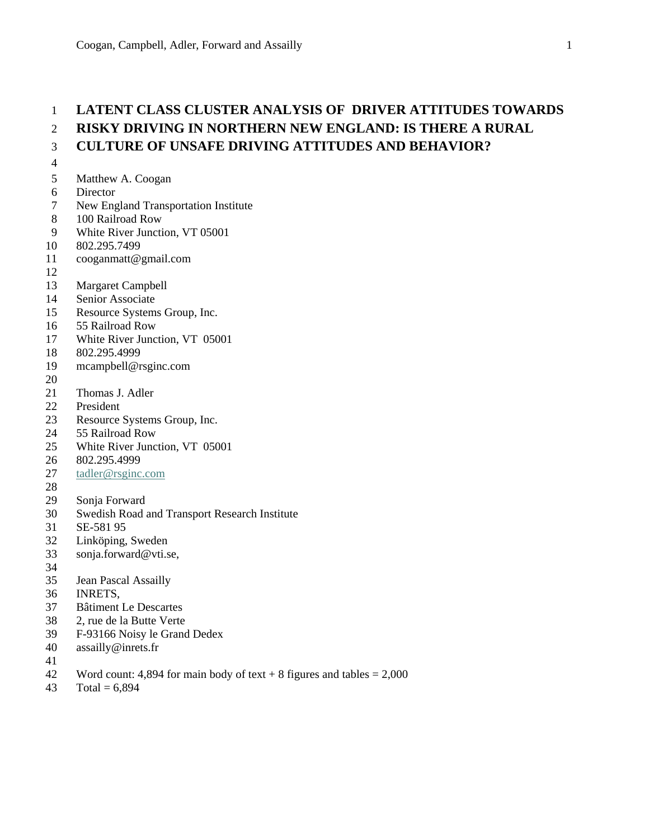# 1 **LATENT CLASS CLUSTER ANALYSIS OF DRIVER ATTITUDES TOWARDS**  2 **RISKY DRIVING IN NORTHERN NEW ENGLAND: IS THERE A RURAL**  3 **CULTURE OF UNSAFE DRIVING ATTITUDES AND BEHAVIOR?**

- 4
- 5 Matthew A. Coogan
- 6 Director
- 7 New England Transportation Institute
- 8 100 Railroad Row
- 9 White River Junction, VT 05001
- 10 802.295.7499
- 11 cooganmatt@gmail.com
- 12
- 13 Margaret Campbell
- 14 Senior Associate
- 15 Resource Systems Group, Inc.
- 16 55 Railroad Row
- 17 White River Junction, VT 05001
- 18 802.295.4999
- 19 mcampbell@rsginc.com
- 20
- 21 Thomas J. Adler
- 22 President<br>23 Resource
- Resource Systems Group, Inc.
- 24 55 Railroad Row
- 25 White River Junction, VT 05001
- 26 802.295.4999
- 27 tadler@rsginc.com
- 28
- 29 Sonja Forward
- 30 Swedish Road and Transport Research Institute
- 31 SE-581 95
- 32 Linköping, Sweden
- 33 sonja.forward@vti.se,
- 34
- 35 Jean Pascal Assailly
- 36 INRETS,
- 37 Bâtiment Le Descartes
- 38 2, rue de la Butte Verte
- 39 F-93166 Noisy le Grand Dedex
- 40 assailly@inrets.fr
- 41
- 42 Word count: 4,894 for main body of text  $+ 8$  figures and tables  $= 2,000$
- 43 Total =  $6,894$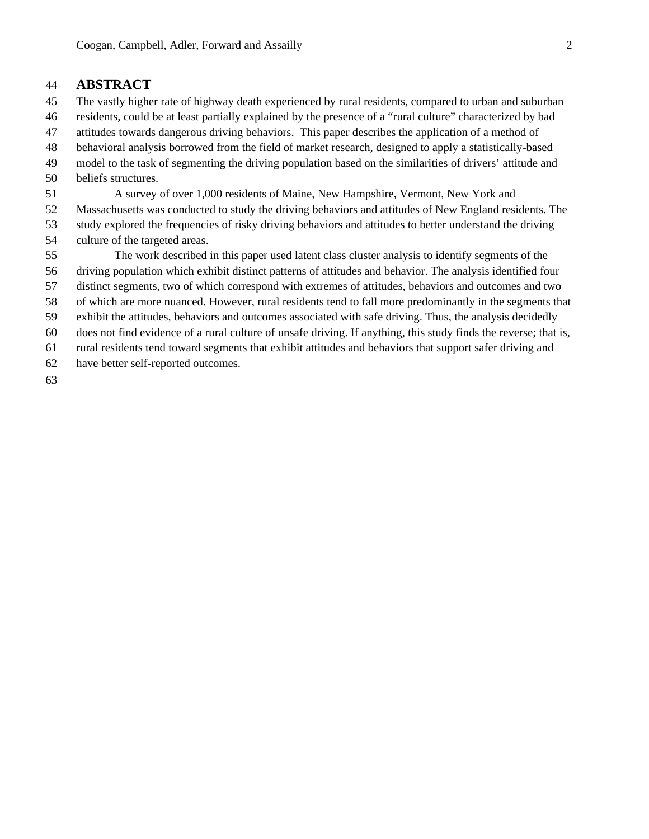# 44 **ABSTRACT**

- 45 The vastly higher rate of highway death experienced by rural residents, compared to urban and suburban
- 46 residents, could be at least partially explained by the presence of a "rural culture" characterized by bad
- 47 attitudes towards dangerous driving behaviors. This paper describes the application of a method of
- 48 behavioral analysis borrowed from the field of market research, designed to apply a statistically-based
- 49 model to the task of segmenting the driving population based on the similarities of drivers' attitude and
- 50 beliefs structures.
- 51 A survey of over 1,000 residents of Maine, New Hampshire, Vermont, New York and
- 52 Massachusetts was conducted to study the driving behaviors and attitudes of New England residents. The
- 53 study explored the frequencies of risky driving behaviors and attitudes to better understand the driving 54 culture of the targeted areas.
- 55 The work described in this paper used latent class cluster analysis to identify segments of the 56 driving population which exhibit distinct patterns of attitudes and behavior. The analysis identified four 57 distinct segments, two of which correspond with extremes of attitudes, behaviors and outcomes and two 58 of which are more nuanced. However, rural residents tend to fall more predominantly in the segments that 59 exhibit the attitudes, behaviors and outcomes associated with safe driving. Thus, the analysis decidedly 60 does not find evidence of a rural culture of unsafe driving. If anything, this study finds the reverse; that is, 61 rural residents tend toward segments that exhibit attitudes and behaviors that support safer driving and
- 62 have better self-reported outcomes.
- 63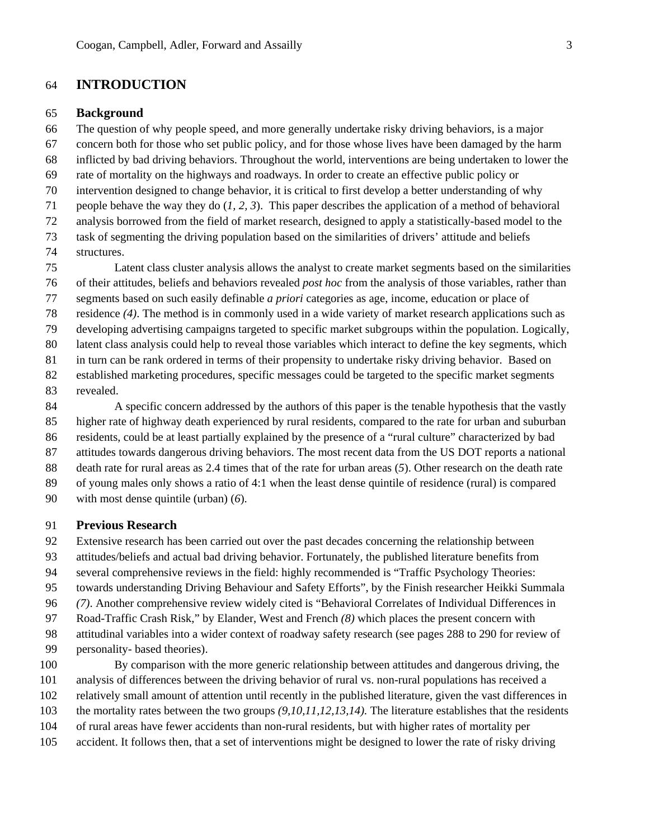# 64 **INTRODUCTION**

### 65 **Background**

66 The question of why people speed, and more generally undertake risky driving behaviors, is a major 67 concern both for those who set public policy, and for those whose lives have been damaged by the harm 68 inflicted by bad driving behaviors. Throughout the world, interventions are being undertaken to lower the 69 rate of mortality on the highways and roadways. In order to create an effective public policy or 70 intervention designed to change behavior, it is critical to first develop a better understanding of why 71 people behave the way they do (*1, 2, 3*). This paper describes the application of a method of behavioral 72 analysis borrowed from the field of market research, designed to apply a statistically-based model to the 73 task of segmenting the driving population based on the similarities of drivers' attitude and beliefs 74 structures.

75 Latent class cluster analysis allows the analyst to create market segments based on the similarities 76 of their attitudes, beliefs and behaviors revealed *post hoc* from the analysis of those variables, rather than 77 segments based on such easily definable *a priori* categories as age, income, education or place of 78 residence *(4)*. The method is in commonly used in a wide variety of market research applications such as 79 developing advertising campaigns targeted to specific market subgroups within the population. Logically, 80 latent class analysis could help to reveal those variables which interact to define the key segments, which 81 in turn can be rank ordered in terms of their propensity to undertake risky driving behavior. Based on 82 established marketing procedures, specific messages could be targeted to the specific market segments

83 revealed.

84 A specific concern addressed by the authors of this paper is the tenable hypothesis that the vastly 85 higher rate of highway death experienced by rural residents, compared to the rate for urban and suburban 86 residents, could be at least partially explained by the presence of a "rural culture" characterized by bad 87 attitudes towards dangerous driving behaviors. The most recent data from the US DOT reports a national 88 death rate for rural areas as 2.4 times that of the rate for urban areas (*5*). Other research on the death rate 89 of young males only shows a ratio of 4:1 when the least dense quintile of residence (rural) is compared 90 with most dense quintile (urban) (*6*).

### 91 **Previous Research**

92 Extensive research has been carried out over the past decades concerning the relationship between

- 93 attitudes/beliefs and actual bad driving behavior. Fortunately, the published literature benefits from
- 94 several comprehensive reviews in the field: highly recommended is "Traffic Psychology Theories:
- 95 towards understanding Driving Behaviour and Safety Efforts", by the Finish researcher Heikki Summala
- 96 *(7)*. Another comprehensive review widely cited is "Behavioral Correlates of Individual Differences in
- 97 Road-Traffic Crash Risk," by Elander, West and French *(8)* which places the present concern with
- 98 attitudinal variables into a wider context of roadway safety research (see pages 288 to 290 for review of
- 99 personality- based theories).
- 100 By comparison with the more generic relationship between attitudes and dangerous driving, the
- 101 analysis of differences between the driving behavior of rural vs. non-rural populations has received a
- 102 relatively small amount of attention until recently in the published literature, given the vast differences in
- 103 the mortality rates between the two groups *(9,10,11,12,13,14).* The literature establishes that the residents
- 104 of rural areas have fewer accidents than non-rural residents, but with higher rates of mortality per
- 105 accident. It follows then, that a set of interventions might be designed to lower the rate of risky driving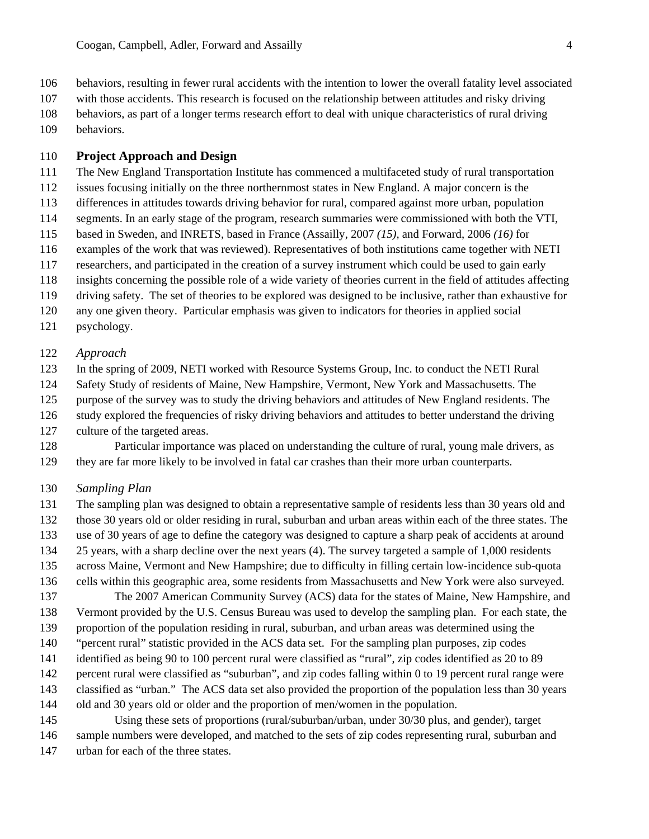106 behaviors, resulting in fewer rural accidents with the intention to lower the overall fatality level associated

- 107 with those accidents. This research is focused on the relationship between attitudes and risky driving
- 108 behaviors, as part of a longer terms research effort to deal with unique characteristics of rural driving
- 109 behaviors.

# 110 **Project Approach and Design**

- 111 The New England Transportation Institute has commenced a multifaceted study of rural transportation
- 112 issues focusing initially on the three northernmost states in New England. A major concern is the
- 113 differences in attitudes towards driving behavior for rural, compared against more urban, population
- 114 segments. In an early stage of the program, research summaries were commissioned with both the VTI,
- 115 based in Sweden, and INRETS, based in France (Assailly, 2007 *(15),* and Forward, 2006 *(16)* for
- 116 examples of the work that was reviewed). Representatives of both institutions came together with NETI
- 117 researchers, and participated in the creation of a survey instrument which could be used to gain early
- 118 insights concerning the possible role of a wide variety of theories current in the field of attitudes affecting
- 119 driving safety. The set of theories to be explored was designed to be inclusive, rather than exhaustive for
- 120 any one given theory. Particular emphasis was given to indicators for theories in applied social
- 121 psychology.

## 122 *Approach*

- 123 In the spring of 2009, NETI worked with Resource Systems Group, Inc. to conduct the NETI Rural
- 124 Safety Study of residents of Maine, New Hampshire, Vermont, New York and Massachusetts. The
- 125 purpose of the survey was to study the driving behaviors and attitudes of New England residents. The
- 126 study explored the frequencies of risky driving behaviors and attitudes to better understand the driving
- 127 culture of the targeted areas.
- 128 Particular importance was placed on understanding the culture of rural, young male drivers, as 129 they are far more likely to be involved in fatal car crashes than their more urban counterparts.
- 130 *Sampling Plan*
- 131 The sampling plan was designed to obtain a representative sample of residents less than 30 years old and 132 those 30 years old or older residing in rural, suburban and urban areas within each of the three states. The
- 133 use of 30 years of age to define the category was designed to capture a sharp peak of accidents at around
- 134 25 years, with a sharp decline over the next years (4). The survey targeted a sample of 1,000 residents
- 135 across Maine, Vermont and New Hampshire; due to difficulty in filling certain low-incidence sub-quota
- 
- 136 cells within this geographic area, some residents from Massachusetts and New York were also surveyed. 137 The 2007 American Community Survey (ACS) data for the states of Maine, New Hampshire, and
- 138 Vermont provided by the U.S. Census Bureau was used to develop the sampling plan. For each state, the
- 139 proportion of the population residing in rural, suburban, and urban areas was determined using the
- 140 "percent rural" statistic provided in the ACS data set. For the sampling plan purposes, zip codes
- 141 identified as being 90 to 100 percent rural were classified as "rural", zip codes identified as 20 to 89
- 142 percent rural were classified as "suburban", and zip codes falling within 0 to 19 percent rural range were
- 143 classified as "urban." The ACS data set also provided the proportion of the population less than 30 years
- 144 old and 30 years old or older and the proportion of men/women in the population.
- 145 Using these sets of proportions (rural/suburban/urban, under 30/30 plus, and gender), target 146 sample numbers were developed, and matched to the sets of zip codes representing rural, suburban and
- 147 urban for each of the three states.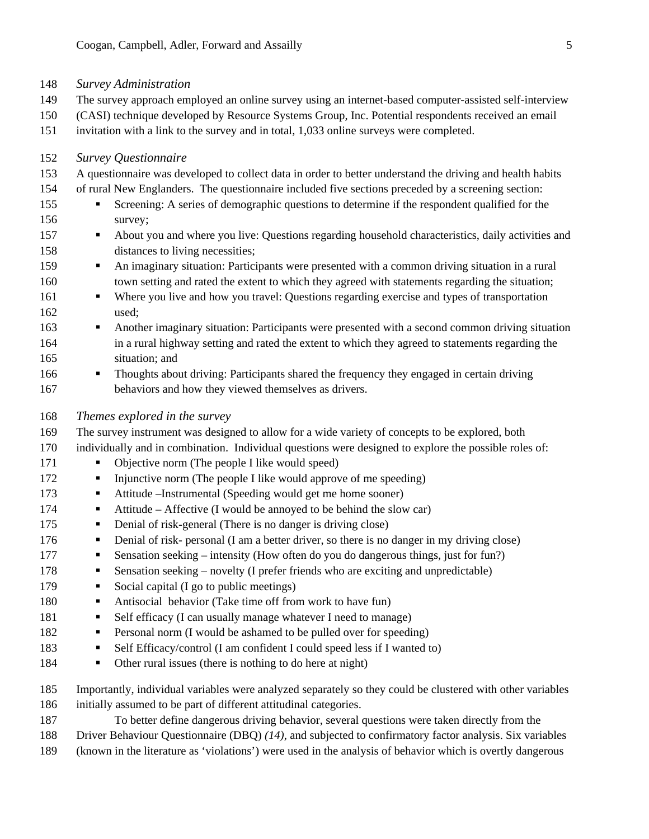- 148 *Survey Administration*
- 149 The survey approach employed an online survey using an internet-based computer-assisted self-interview
- 150 (CASI) technique developed by Resource Systems Group, Inc. Potential respondents received an email
- 151 invitation with a link to the survey and in total, 1,033 online surveys were completed.

#### 152 *Survey Questionnaire*

- 153 A questionnaire was developed to collect data in order to better understand the driving and health habits
- 154 of rural New Englanders. The questionnaire included five sections preceded by a screening section:
- 155 Screening: A series of demographic questions to determine if the respondent qualified for the 156 survey;
- 157 About you and where you live: Questions regarding household characteristics, daily activities and 158 distances to living necessities;
- 159 An imaginary situation: Participants were presented with a common driving situation in a rural 160 town setting and rated the extent to which they agreed with statements regarding the situation;
- 161 Where you live and how you travel: Questions regarding exercise and types of transportation 162 used;
- 163 Another imaginary situation: Participants were presented with a second common driving situation 164 in a rural highway setting and rated the extent to which they agreed to statements regarding the 165 situation; and
- 166 **Thoughts about driving: Participants shared the frequency they engaged in certain driving** 167 behaviors and how they viewed themselves as drivers.
- 168 *Themes explored in the survey*
- 169 The survey instrument was designed to allow for a wide variety of concepts to be explored, both
- 170 individually and in combination. Individual questions were designed to explore the possible roles of:
- 171 Objective norm (The people I like would speed)
- 172 Injunctive norm (The people I like would approve of me speeding)
- 173 **Attitude –Instrumental (Speeding would get me home sooner)**
- 174 Attitude Affective (I would be annoyed to be behind the slow car)
- 175 Denial of risk-general (There is no danger is driving close)
- 176 **Denial of risk- personal (I am a better driver, so there is no danger in my driving close)**
- 177 **Sensation seeking intensity (How often do you do dangerous things, just for fun?)**
- 178 Sensation seeking novelty (I prefer friends who are exciting and unpredictable)
- 179 Social capital (I go to public meetings)
- 180 Antisocial behavior (Take time off from work to have fun)
- 181 Self efficacy (I can usually manage whatever I need to manage)
- 182 Personal norm (I would be ashamed to be pulled over for speeding)
- 183 Self Efficacy/control (I am confident I could speed less if I wanted to)
- 184 I Other rural issues (there is nothing to do here at night)

185 Importantly, individual variables were analyzed separately so they could be clustered with other variables 186 initially assumed to be part of different attitudinal categories.

- 187 To better define dangerous driving behavior, several questions were taken directly from the
- 188 Driver Behaviour Questionnaire (DBQ) *(14)*, and subjected to confirmatory factor analysis. Six variables
- 189 (known in the literature as 'violations') were used in the analysis of behavior which is overtly dangerous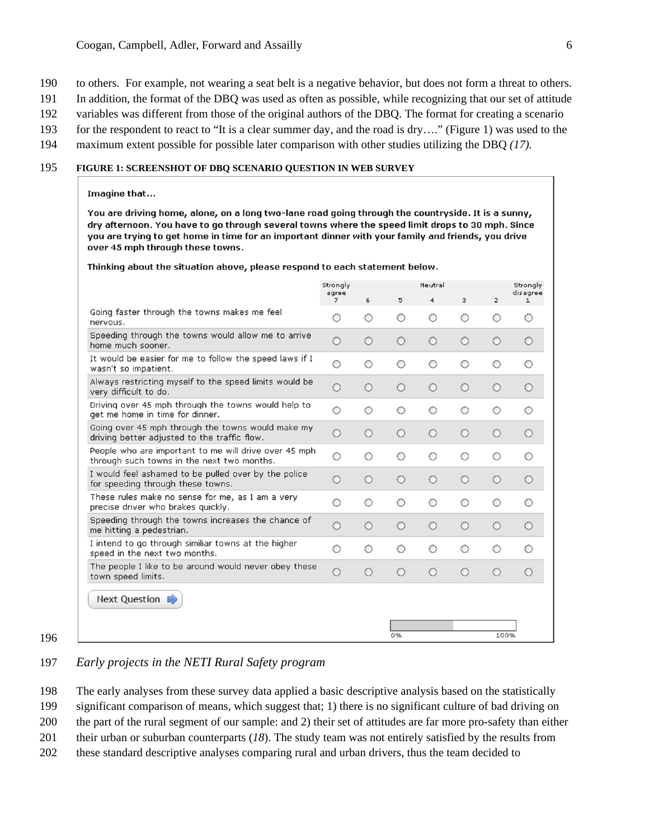- 190 to others. For example, not wearing a seat belt is a negative behavior, but does not form a threat to others.
- 191 In addition, the format of the DBQ was used as often as possible, while recognizing that our set of attitude
- 192 variables was different from those of the original authors of the DBQ. The format for creating a scenario
- 193 for the respondent to react to "It is a clear summer day, and the road is dry…." (Figure 1) was used to the
- 194 maximum extent possible for possible later comparison with other studies utilizing the DBQ *(17).*

#### 195 **FIGURE 1: SCREENSHOT OF DBQ SCENARIO QUESTION IN WEB SURVEY**

#### Imagine that...

You are driving home, alone, on a long two-lane road going through the countryside. It is a sunny, dry afternoon. You have to go through several towns where the speed limit drops to 30 mph. Since you are trying to get home in time for an important dinner with your family and friends, you drive over 45 mph through these towns.

Thinking about the situation above, please respond to each statement below.

|                                                                                                     | Strongly<br>agree |   |         | Neutral |   |                | Strongly<br>disagree |
|-----------------------------------------------------------------------------------------------------|-------------------|---|---------|---------|---|----------------|----------------------|
|                                                                                                     | 7                 | 6 | 5       | 4       | 3 | $\overline{2}$ | 1                    |
| Going faster through the towns makes me feel<br>nervous.                                            | О                 | Ο | О       | О       | О | ∩              | ◯                    |
| Speeding through the towns would allow me to arrive<br>home much sooner.                            | О                 | О | Ο       | $\circ$ | O | О              | О                    |
| It would be easier for me to follow the speed laws if I<br>wasn't so impatient.                     | О                 | Ο | O       | O       | Ο | O              |                      |
| Always restricting myself to the speed limits would be<br>very difficult to do.                     | Ο                 | Ο | Ο       | $\circ$ | Ω | Ο              | Ο                    |
| Driving over 45 mph through the towns would help to<br>get me home in time for dinner.              | Ο                 | Ο | O       | O       | Ο | ்              | ◯                    |
| Going over 45 mph through the towns would make my<br>driving better adjusted to the traffic flow.   | О                 | Ο | O       | O       | Ο | Ο              | Ο                    |
| People who are important to me will drive over 45 mph<br>through such towns in the next two months. | О                 | Ο | О       | O       | О | Ο              | ∩                    |
| I would feel ashamed to be pulled over by the police<br>for speeding through these towns.           | Ο                 | Ο | Ο       | O       | Ο | Ο              | Ο                    |
| These rules make no sense for me, as I am a very<br>precise driver who brakes quickly.              | Ο                 | Ο | Ο       | O       | Ο | ∩              | ∩                    |
| Speeding through the towns increases the chance of<br>me hitting a pedestrian.                      | Ο                 | Ο | $\circ$ | $\circ$ | Ο | Ο              | Ω                    |
| I intend to go through similiar towns at the higher<br>speed in the next two months.                | О                 | Ο | Ο       | О       | Ο | Ο              | Ο                    |
| The people I like to be around would never obey these<br>town speed limits.                         | Ο                 | Ο | O       | Ο       | Ο | Ο              | O                    |
| Next Question                                                                                       |                   |   |         |         |   |                |                      |
|                                                                                                     |                   |   |         |         |   |                |                      |
|                                                                                                     |                   |   | 0%      |         |   | 100%           |                      |

196

# 197 *Early projects in the NETI Rural Safety program*

198 The early analyses from these survey data applied a basic descriptive analysis based on the statistically

199 significant comparison of means, which suggest that; 1) there is no significant culture of bad driving on

200 the part of the rural segment of our sample: and 2) their set of attitudes are far more pro-safety than either

201 their urban or suburban counterparts (*18*). The study team was not entirely satisfied by the results from

202 these standard descriptive analyses comparing rural and urban drivers, thus the team decided to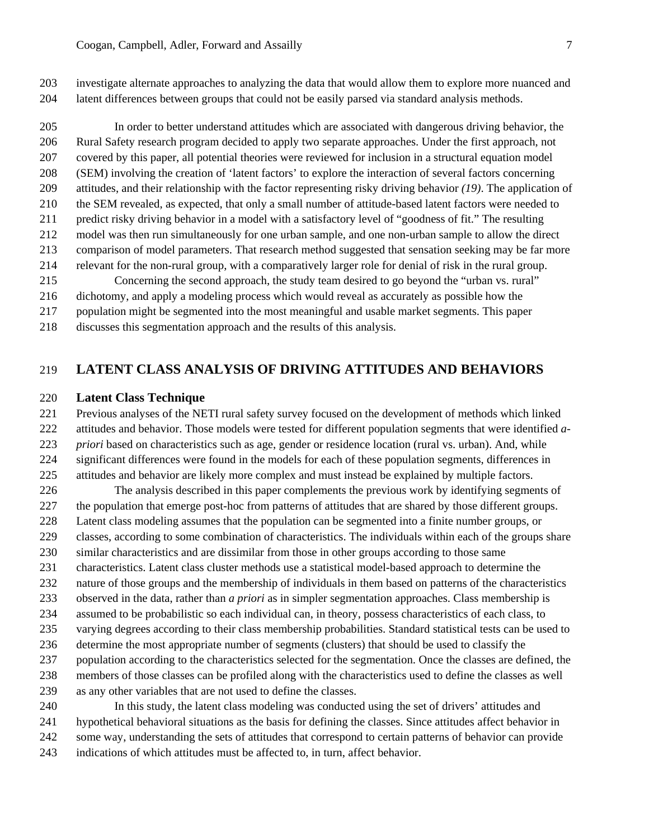203 investigate alternate approaches to analyzing the data that would allow them to explore more nuanced and 204 latent differences between groups that could not be easily parsed via standard analysis methods.

205 In order to better understand attitudes which are associated with dangerous driving behavior, the 206 Rural Safety research program decided to apply two separate approaches. Under the first approach, not 207 covered by this paper, all potential theories were reviewed for inclusion in a structural equation model 208 (SEM) involving the creation of 'latent factors' to explore the interaction of several factors concerning 209 attitudes, and their relationship with the factor representing risky driving behavior *(19)*. The application of 210 the SEM revealed, as expected, that only a small number of attitude-based latent factors were needed to 211 predict risky driving behavior in a model with a satisfactory level of "goodness of fit." The resulting 212 model was then run simultaneously for one urban sample, and one non-urban sample to allow the direct 213 comparison of model parameters. That research method suggested that sensation seeking may be far more 214 relevant for the non-rural group, with a comparatively larger role for denial of risk in the rural group. 215 Concerning the second approach, the study team desired to go beyond the "urban vs. rural" 216 dichotomy, and apply a modeling process which would reveal as accurately as possible how the 217 population might be segmented into the most meaningful and usable market segments. This paper

218 discusses this segmentation approach and the results of this analysis.

# 219 **LATENT CLASS ANALYSIS OF DRIVING ATTITUDES AND BEHAVIORS**

### 220 **Latent Class Technique**

- 221 Previous analyses of the NETI rural safety survey focused on the development of methods which linked 222 attitudes and behavior. Those models were tested for different population segments that were identified *a-*223 *priori* based on characteristics such as age, gender or residence location (rural vs. urban). And, while
- 224 significant differences were found in the models for each of these population segments, differences in
- 225 attitudes and behavior are likely more complex and must instead be explained by multiple factors.
- 226 The analysis described in this paper complements the previous work by identifying segments of 227 the population that emerge post-hoc from patterns of attitudes that are shared by those different groups.
- 228 Latent class modeling assumes that the population can be segmented into a finite number groups, or
- 229 classes, according to some combination of characteristics. The individuals within each of the groups share
- 230 similar characteristics and are dissimilar from those in other groups according to those same
- 231 characteristics. Latent class cluster methods use a statistical model-based approach to determine the
- 232 nature of those groups and the membership of individuals in them based on patterns of the characteristics
- 233 observed in the data, rather than *a priori* as in simpler segmentation approaches. Class membership is
- 234 assumed to be probabilistic so each individual can, in theory, possess characteristics of each class, to
- 235 varying degrees according to their class membership probabilities. Standard statistical tests can be used to
- 236 determine the most appropriate number of segments (clusters) that should be used to classify the
- 237 population according to the characteristics selected for the segmentation. Once the classes are defined, the
- 238 members of those classes can be profiled along with the characteristics used to define the classes as well
- 239 as any other variables that are not used to define the classes.

240 In this study, the latent class modeling was conducted using the set of drivers' attitudes and 241 hypothetical behavioral situations as the basis for defining the classes. Since attitudes affect behavior in 242 some way, understanding the sets of attitudes that correspond to certain patterns of behavior can provide 243 indications of which attitudes must be affected to, in turn, affect behavior.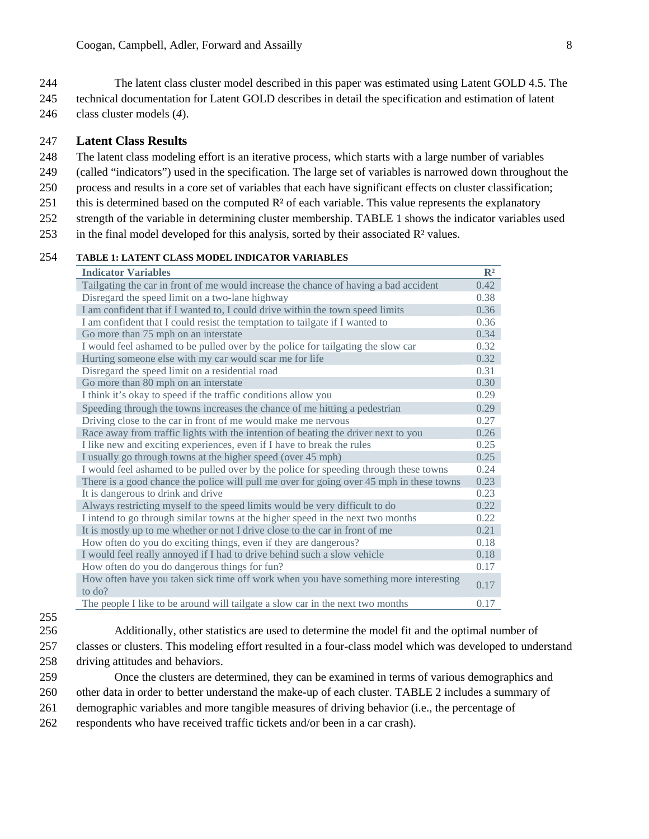- 244 The latent class cluster model described in this paper was estimated using Latent GOLD 4.5. The
- 245 technical documentation for Latent GOLD describes in detail the specification and estimation of latent
- 246 class cluster models (*4*).

## 247 **Latent Class Results**

- 248 The latent class modeling effort is an iterative process, which starts with a large number of variables
- 249 (called "indicators") used in the specification. The large set of variables is narrowed down throughout the
- 250 process and results in a core set of variables that each have significant effects on cluster classification;
- 251 this is determined based on the computed  $\mathbb{R}^2$  of each variable. This value represents the explanatory
- 252 strength of the variable in determining cluster membership. TABLE 1 shows the indicator variables used
- 253 in the final model developed for this analysis, sorted by their associated  $\mathbb{R}^2$  values.

# 254 **TABLE 1: LATENT CLASS MODEL INDICATOR VARIABLES**

| <b>Indicator Variables</b>                                                                           | $\mathbb{R}^2$ |
|------------------------------------------------------------------------------------------------------|----------------|
| Tailgating the car in front of me would increase the chance of having a bad accident                 | 0.42           |
| Disregard the speed limit on a two-lane highway                                                      | 0.38           |
| I am confident that if I wanted to, I could drive within the town speed limits                       | 0.36           |
| I am confident that I could resist the temptation to tailgate if I wanted to                         | 0.36           |
| Go more than 75 mph on an interstate                                                                 | 0.34           |
| I would feel ashamed to be pulled over by the police for tailgating the slow car                     | 0.32           |
| Hurting someone else with my car would scar me for life                                              | 0.32           |
| Disregard the speed limit on a residential road                                                      | 0.31           |
| Go more than 80 mph on an interstate                                                                 | 0.30           |
| I think it's okay to speed if the traffic conditions allow you                                       | 0.29           |
| Speeding through the towns increases the chance of me hitting a pedestrian                           | 0.29           |
| Driving close to the car in front of me would make me nervous                                        | 0.27           |
| Race away from traffic lights with the intention of beating the driver next to you                   | 0.26           |
| I like new and exciting experiences, even if I have to break the rules                               | 0.25           |
| I usually go through towns at the higher speed (over 45 mph)                                         | 0.25           |
| I would feel ashamed to be pulled over by the police for speeding through these towns                | 0.24           |
| There is a good chance the police will pull me over for going over 45 mph in these towns             | 0.23           |
| It is dangerous to drink and drive                                                                   | 0.23           |
| Always restricting myself to the speed limits would be very difficult to do                          | 0.22           |
| I intend to go through similar towns at the higher speed in the next two months                      | 0.22           |
| It is mostly up to me whether or not I drive close to the car in front of me                         | 0.21           |
| How often do you do exciting things, even if they are dangerous?                                     | 0.18           |
| I would feel really annoyed if I had to drive behind such a slow vehicle                             | 0.18           |
| How often do you do dangerous things for fun?                                                        | 0.17           |
| How often have you taken sick time off work when you have something more interesting<br>to $d\rho$ ? | 0.17           |
| The people I like to be around will tailgate a slow car in the next two months                       | 0.17           |

- 255
- 

256 Additionally, other statistics are used to determine the model fit and the optimal number of 257 classes or clusters. This modeling effort resulted in a four-class model which was developed to understand

258 driving attitudes and behaviors.

259 Once the clusters are determined, they can be examined in terms of various demographics and 260 other data in order to better understand the make-up of each cluster. TABLE 2 includes a summary of

- 261 demographic variables and more tangible measures of driving behavior (i.e., the percentage of
- 262 respondents who have received traffic tickets and/or been in a car crash).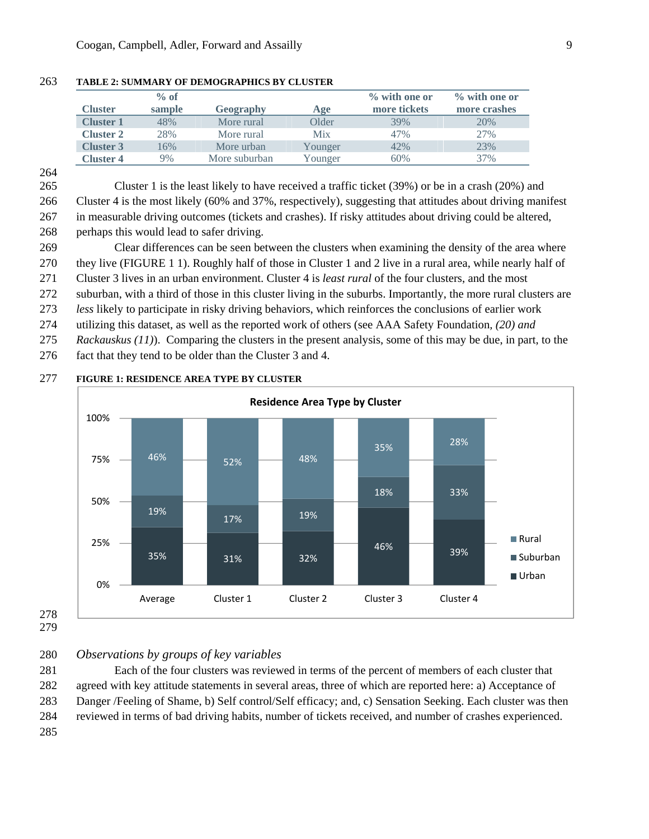|                  | $%$ of |               |         | % with one or | $\%$ with one or |
|------------------|--------|---------------|---------|---------------|------------------|
| <b>Cluster</b>   | sample | Geography     | Age     | more tickets  | more crashes     |
| <b>Cluster 1</b> | 48%    | More rural    | Older   | 39%           | 20%              |
| <b>Cluster 2</b> | 28%    | More rural    | Mix     | 47%           | 27%              |
| <b>Cluster 3</b> | 16%    | More urban    | Younger | 42%           | 23%              |
| <b>Cluster 4</b> | 9%     | More suburban | Younger | 60%           | 37%              |

#### 263 **TABLE 2: SUMMARY OF DEMOGRAPHICS BY CLUSTER**

264

265 Cluster 1 is the least likely to have received a traffic ticket (39%) or be in a crash (20%) and 266 Cluster 4 is the most likely (60% and 37%, respectively), suggesting that attitudes about driving manifest

267 in measurable driving outcomes (tickets and crashes). If risky attitudes about driving could be altered,

268 perhaps this would lead to safer driving.

269 Clear differences can be seen between the clusters when examining the density of the area where 270 they live (FIGURE 1 1). Roughly half of those in Cluster 1 and 2 live in a rural area, while nearly half of

271 Cluster 3 lives in an urban environment. Cluster 4 is *least rural* of the four clusters, and the most

272 suburban, with a third of those in this cluster living in the suburbs. Importantly, the more rural clusters are

273 *less* likely to participate in risky driving behaviors, which reinforces the conclusions of earlier work

274 utilizing this dataset, as well as the reported work of others (see AAA Safety Foundation*, (20) and* 

275 *Rackauskus (11)*). Comparing the clusters in the present analysis, some of this may be due, in part, to the

276 fact that they tend to be older than the Cluster 3 and 4.

# 35% 31% 32% 46% 39% 19% 17% 19% 18% 33% 46% 52% 48% 35% 28% 0% 25% 50% 75% 100% Average Cluster 1 Cluster 2 Cluster 3 Cluster 4 **Residence Area Type by Cluster** Rural ■Suburban Urban

277 **FIGURE 1: RESIDENCE AREA TYPE BY CLUSTER** 

278 279

280 *Observations by groups of key variables* 

281 Each of the four clusters was reviewed in terms of the percent of members of each cluster that 282 agreed with key attitude statements in several areas, three of which are reported here: a) Acceptance of 283 Danger /Feeling of Shame, b) Self control/Self efficacy; and, c) Sensation Seeking. Each cluster was then 284 reviewed in terms of bad driving habits, number of tickets received, and number of crashes experienced. 285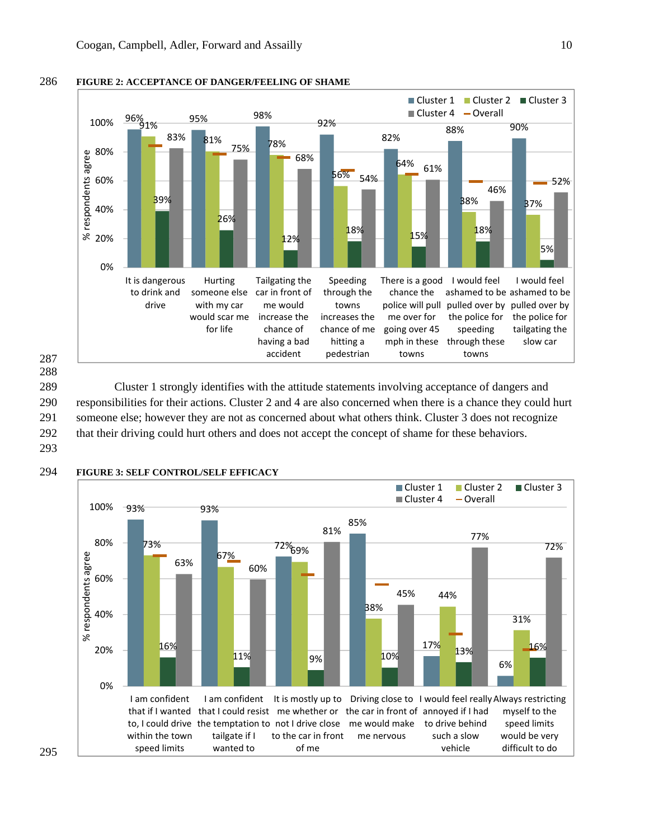## 286 **FIGURE 2: ACCEPTANCE OF DANGER/FEELING OF SHAME**



287 288

289 Cluster 1 strongly identifies with the attitude statements involving acceptance of dangers and 290 responsibilities for their actions. Cluster 2 and 4 are also concerned when there is a chance they could hurt 291 someone else; however they are not as concerned about what others think. Cluster 3 does not recognize 292 that their driving could hurt others and does not accept the concept of shame for these behaviors.

293



#### 294 **FIGURE 3: SELF CONTROL/SELF EFFICACY**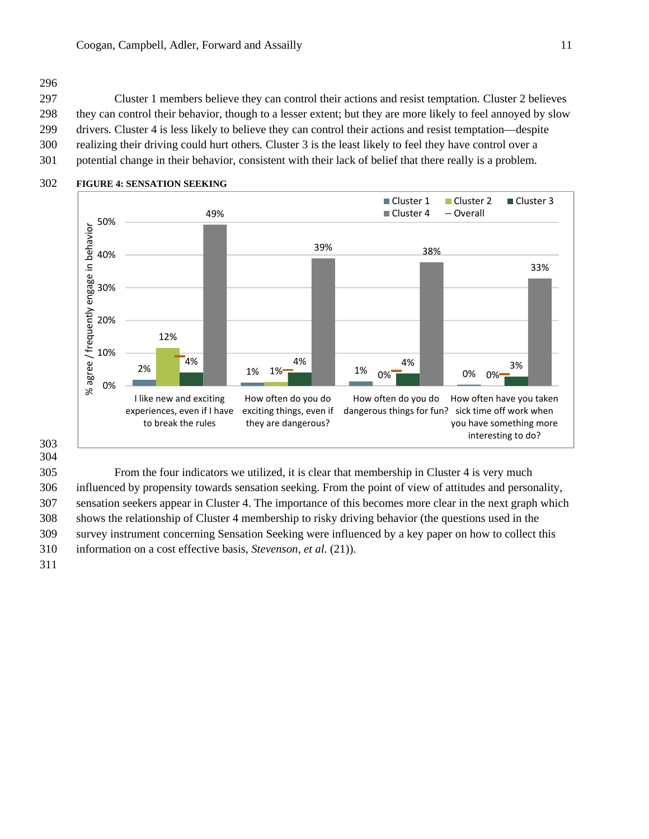# 296

297 Cluster 1 members believe they can control their actions and resist temptation*.* Cluster 2 believes 298 they can control their behavior, though to a lesser extent; but they are more likely to feel annoyed by slow 299 drivers*.* Cluster 4 is less likely to believe they can control their actions and resist temptation—despite 300 realizing their driving could hurt others*.* Cluster 3 is the least likely to feel they have control over a 301 potential change in their behavior, consistent with their lack of belief that there really is a problem.



## 302 **FIGURE 4: SENSATION SEEKING**

303 304

305 From the four indicators we utilized, it is clear that membership in Cluster 4 is very much 306 influenced by propensity towards sensation seeking. From the point of view of attitudes and personality, 307 sensation seekers appear in Cluster 4. The importance of this becomes more clear in the next graph which 308 shows the relationship of Cluster 4 membership to risky driving behavior (the questions used in the 309 survey instrument concerning Sensation Seeking were influenced by a key paper on how to collect this 310 information on a cost effective basis*, Stevenson, et al.* (21)).

311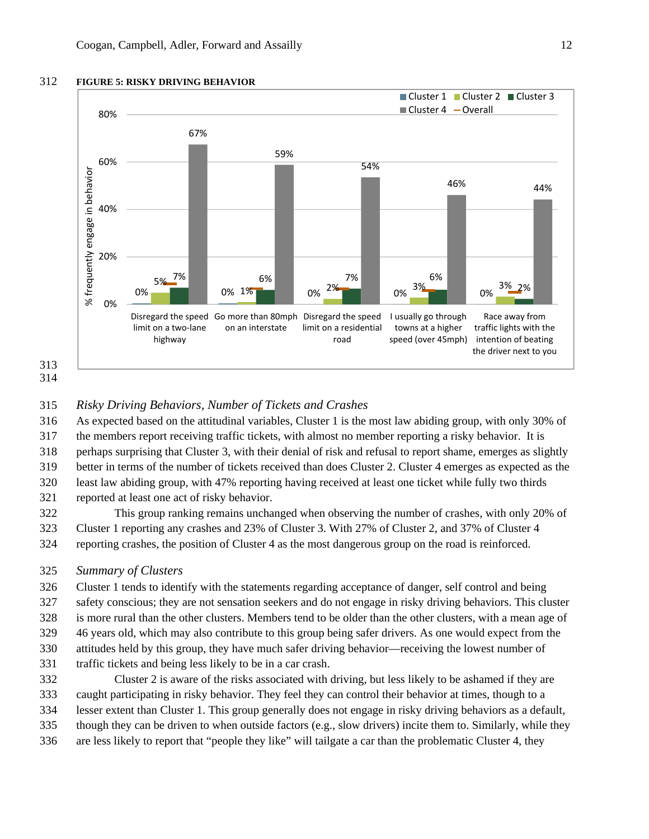

313 314

## 312 **FIGURE 5: RISKY DRIVING BEHAVIOR**



## 315 *Risky Driving Behaviors, Number of Tickets and Crashes*

316 As expected based on the attitudinal variables, Cluster 1 is the most law abiding group, with only 30% of 317 the members report receiving traffic tickets, with almost no member reporting a risky behavior. It is 318 perhaps surprising that Cluster 3, with their denial of risk and refusal to report shame, emerges as slightly 319 better in terms of the number of tickets received than does Cluster 2. Cluster 4 emerges as expected as the 320 least law abiding group, with 47% reporting having received at least one ticket while fully two thirds

321 reported at least one act of risky behavior.

322 This group ranking remains unchanged when observing the number of crashes, with only 20% of 323 Cluster 1 reporting any crashes and 23% of Cluster 3. With 27% of Cluster 2, and 37% of Cluster 4 324 reporting crashes, the position of Cluster 4 as the most dangerous group on the road is reinforced.

#### 325 *Summary of Clusters*

326 Cluster 1 tends to identify with the statements regarding acceptance of danger, self control and being 327 safety conscious; they are not sensation seekers and do not engage in risky driving behaviors. This cluster 328 is more rural than the other clusters. Members tend to be older than the other clusters, with a mean age of 329 46 years old, which may also contribute to this group being safer drivers. As one would expect from the 330 attitudes held by this group, they have much safer driving behavior—receiving the lowest number of 331 traffic tickets and being less likely to be in a car crash.

332 Cluster 2 is aware of the risks associated with driving, but less likely to be ashamed if they are 333 caught participating in risky behavior. They feel they can control their behavior at times, though to a 334 lesser extent than Cluster 1. This group generally does not engage in risky driving behaviors as a default, 335 though they can be driven to when outside factors (e.g., slow drivers) incite them to. Similarly, while they

336 are less likely to report that "people they like" will tailgate a car than the problematic Cluster 4, they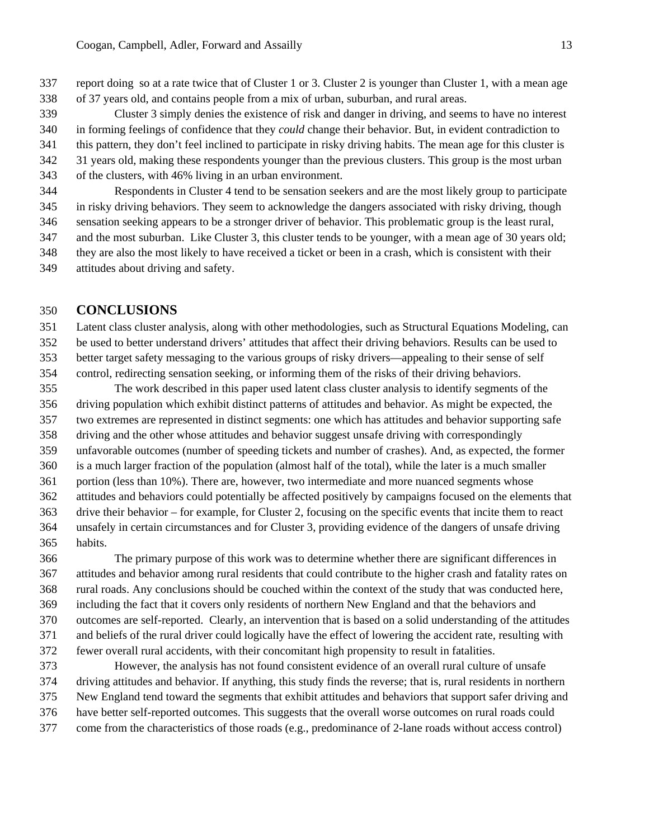- 337 report doing so at a rate twice that of Cluster 1 or 3. Cluster 2 is younger than Cluster 1, with a mean age
- 338 of 37 years old, and contains people from a mix of urban, suburban, and rural areas.
- 339 Cluster 3 simply denies the existence of risk and danger in driving, and seems to have no interest 340 in forming feelings of confidence that they *could* change their behavior. But, in evident contradiction to 341 this pattern, they don't feel inclined to participate in risky driving habits. The mean age for this cluster is 342 31 years old, making these respondents younger than the previous clusters. This group is the most urban 343 of the clusters, with 46% living in an urban environment.
- 344 Respondents in Cluster 4 tend to be sensation seekers and are the most likely group to participate 345 in risky driving behaviors. They seem to acknowledge the dangers associated with risky driving, though 346 sensation seeking appears to be a stronger driver of behavior. This problematic group is the least rural, 347 and the most suburban. Like Cluster 3, this cluster tends to be younger, with a mean age of 30 years old; 348 they are also the most likely to have received a ticket or been in a crash, which is consistent with their
- 349 attitudes about driving and safety.

# 350 **CONCLUSIONS**

351 Latent class cluster analysis, along with other methodologies, such as Structural Equations Modeling, can 352 be used to better understand drivers' attitudes that affect their driving behaviors. Results can be used to 353 better target safety messaging to the various groups of risky drivers—appealing to their sense of self 354 control, redirecting sensation seeking, or informing them of the risks of their driving behaviors.

355 The work described in this paper used latent class cluster analysis to identify segments of the 356 driving population which exhibit distinct patterns of attitudes and behavior. As might be expected, the 357 two extremes are represented in distinct segments: one which has attitudes and behavior supporting safe 358 driving and the other whose attitudes and behavior suggest unsafe driving with correspondingly 359 unfavorable outcomes (number of speeding tickets and number of crashes). And, as expected, the former 360 is a much larger fraction of the population (almost half of the total), while the later is a much smaller 361 portion (less than 10%). There are, however, two intermediate and more nuanced segments whose 362 attitudes and behaviors could potentially be affected positively by campaigns focused on the elements that 363 drive their behavior – for example, for Cluster 2, focusing on the specific events that incite them to react 364 unsafely in certain circumstances and for Cluster 3, providing evidence of the dangers of unsafe driving 365 habits.

366 The primary purpose of this work was to determine whether there are significant differences in 367 attitudes and behavior among rural residents that could contribute to the higher crash and fatality rates on 368 rural roads. Any conclusions should be couched within the context of the study that was conducted here, 369 including the fact that it covers only residents of northern New England and that the behaviors and 370 outcomes are self-reported. Clearly, an intervention that is based on a solid understanding of the attitudes 371 and beliefs of the rural driver could logically have the effect of lowering the accident rate, resulting with 372 fewer overall rural accidents, with their concomitant high propensity to result in fatalities.

373 However, the analysis has not found consistent evidence of an overall rural culture of unsafe 374 driving attitudes and behavior. If anything, this study finds the reverse; that is, rural residents in northern 375 New England tend toward the segments that exhibit attitudes and behaviors that support safer driving and 376 have better self-reported outcomes. This suggests that the overall worse outcomes on rural roads could

377 come from the characteristics of those roads (e.g., predominance of 2-lane roads without access control)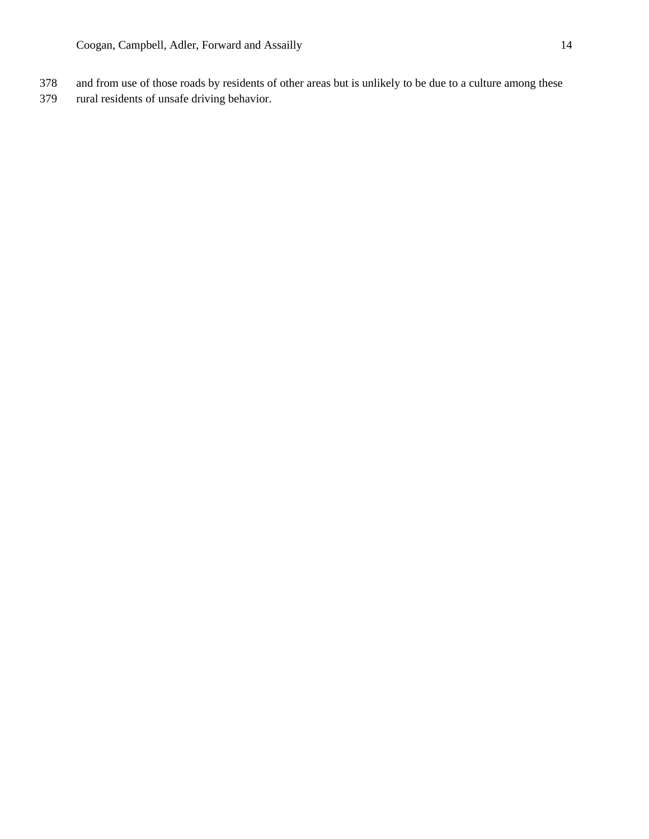- 378 and from use of those roads by residents of other areas but is unlikely to be due to a culture among these
- 379 rural residents of unsafe driving behavior.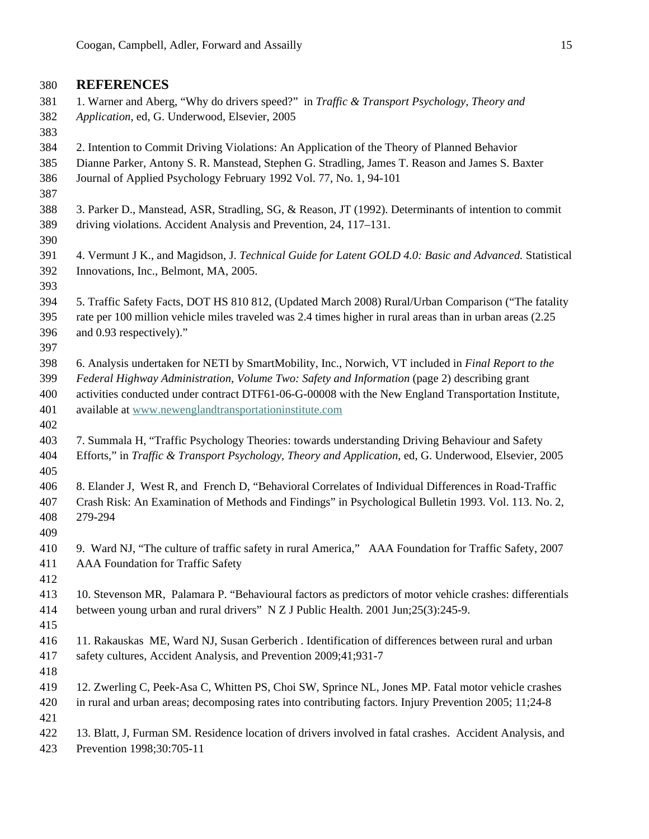# 380 **REFERENCES**

- 381 1. Warner and Aberg, "Why do drivers speed?" in *Traffic & Transport Psychology, Theory and*  382 *Application*, ed, G. Underwood, Elsevier, 2005
- 383
- 384 2. Intention to Commit Driving Violations: An Application of the Theory of Planned Behavior
- 385 Dianne Parker, Antony S. R. Manstead, Stephen G. Stradling, James T. Reason and James S. Baxter 386 Journal of Applied Psychology February 1992 Vol. 77, No. 1, 94-101
- 387
- 388 3. Parker D., Manstead, ASR, Stradling, SG, & Reason, JT (1992). Determinants of intention to commit 389 driving violations. Accident Analysis and Prevention, 24, 117–131.
- 391 4. Vermunt J K., and Magidson, J. *Technical Guide for Latent GOLD 4.0: Basic and Advanced.* Statistical 392 Innovations, Inc., Belmont, MA, 2005.
- 393

390

- 394 5. Traffic Safety Facts, DOT HS 810 812, (Updated March 2008) Rural/Urban Comparison ("The fatality 395 rate per 100 million vehicle miles traveled was 2.4 times higher in rural areas than in urban areas (2.25 396 and 0.93 respectively)."
- 397
- 398 6. Analysis undertaken for NETI by SmartMobility, Inc., Norwich, VT included in *Final Report to the*  399 *Federal Highway Administration, Volume Two: Safety and Information* (page 2) describing grant 400 activities conducted under contract DTF61-06-G-00008 with the New England Transportation Institute,
- 401 available at www.newenglandtransportationinstitute.com
- 402 403 7. Summala H, "Traffic Psychology Theories: towards understanding Driving Behaviour and Safety 404 Efforts," in *Traffic & Transport Psychology, Theory and Application*, ed, G. Underwood, Elsevier, 2005 405
- 406 8. Elander J, West R, and French D, "Behavioral Correlates of Individual Differences in Road-Traffic 407 Crash Risk: An Examination of Methods and Findings" in Psychological Bulletin 1993. Vol. 113. No. 2, 408 279-294
- 409
- 410 9. Ward NJ, "The culture of traffic safety in rural America," AAA Foundation for Traffic Safety, 2007 411 AAA Foundation for Traffic Safety
- 412
- 413 10. Stevenson MR, Palamara P. "Behavioural factors as predictors of motor vehicle crashes: differentials 414 between young urban and rural drivers" N Z J Public Health. 2001 Jun;25(3):245-9.
- 415
- 416 11. Rakauskas ME, Ward NJ, Susan Gerberich . Identification of differences between rural and urban 417 safety cultures, Accident Analysis, and Prevention 2009;41;931-7
- 418
- 419 12. Zwerling C, Peek-Asa C, Whitten PS, Choi SW, Sprince NL, Jones MP. Fatal motor vehicle crashes 420 in rural and urban areas; decomposing rates into contributing factors. Injury Prevention 2005; 11;24-8
- 421
- 422 13. Blatt, J, Furman SM. Residence location of drivers involved in fatal crashes. Accident Analysis, and 423 Prevention 1998;30:705-11